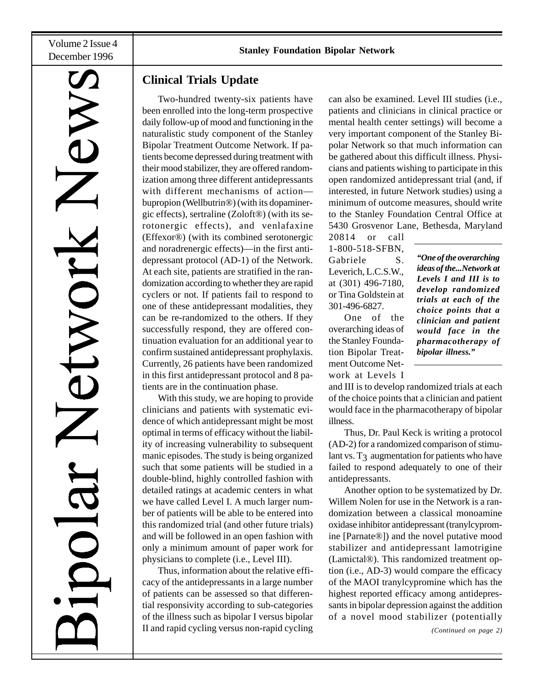Volume 2 Issue 4

# IX

## **Clinical Trials Update**

Two-hundred twenty-six patients have been enrolled into the long-term prospective daily follow-up of mood and functioning in the naturalistic study component of the Stanley Bipolar Treatment Outcome Network. If patients become depressed during treatment with their mood stabilizer, they are offered randomization among three different antidepressants with different mechanisms of action bupropion (Wellbutrin®) (with its dopaminergic effects), sertraline (Zoloft®) (with its serotonergic effects), and venlafaxine (Effexor®) (with its combined serotonergic and noradrenergic effects)—in the first antidepressant protocol (AD-1) of the Network. At each site, patients are stratified in the randomization according to whether they are rapid cyclers or not. If patients fail to respond to one of these antidepressant modalities, they can be re-randomized to the others. If they successfully respond, they are offered continuation evaluation for an additional year to confirm sustained antidepressant prophylaxis. Currently, 26 patients have been randomized in this first antidepressant protocol and 8 patients are in the continuation phase.

With this study, we are hoping to provide clinicians and patients with systematic evidence of which antidepressant might be most optimal in terms of efficacy without the liability of increasing vulnerability to subsequent manic episodes. The study is being organized such that some patients will be studied in a double-blind, highly controlled fashion with detailed ratings at academic centers in what we have called Level I. A much larger number of patients will be able to be entered into this randomized trial (and other future trials) and will be followed in an open fashion with only a minimum amount of paper work for physicians to complete (i.e., Level III).

Thus, information about the relative efficacy of the antidepressants in a large number of patients can be assessed so that differential responsivity according to sub-categories of the illness such as bipolar I versus bipolar II and rapid cycling versus non-rapid cycling can also be examined. Level III studies (i.e., patients and clinicians in clinical practice or mental health center settings) will become a very important component of the Stanley Bipolar Network so that much information can be gathered about this difficult illness. Physicians and patients wishing to participate in this open randomized antidepressant trial (and, if interested, in future Network studies) using a minimum of outcome measures, should write to the Stanley Foundation Central Office at 5430 Grosvenor Lane, Bethesda, Maryland

20814 or call 1-800-518-SFBN, Gabriele S. Leverich, L.C.S.W., at (301) 496-7180, or Tina Goldstein at 301-496-6827.

One of the overarching ideas of the Stanley Foundation Bipolar Treatment Outcome Network at Levels I *"One of the overarching ideas of the...Network at Levels I and III is to develop randomized trials at each of the choice points that a clinician and patient would face in the pharmacotherapy of bipolar illness."*

and III is to develop randomized trials at each of the choice points that a clinician and patient would face in the pharmacotherapy of bipolar illness.

Thus, Dr. Paul Keck is writing a protocol (AD-2) for a randomized comparison of stimulant vs.  $T_3$  augmentation for patients who have failed to respond adequately to one of their antidepressants.

Another option to be systematized by Dr. Willem Nolen for use in the Network is a randomization between a classical monoamine oxidase inhibitor antidepressant (tranylcypromine [Parnate®]) and the novel putative mood stabilizer and antidepressant lamotrigine (Lamictal®). This randomized treatment option (i.e., AD-3) would compare the efficacy of the MAOI tranylcypromine which has the highest reported efficacy among antidepressants in bipolar depression against the addition of a novel mood stabilizer (potentially

*(Continued on page 2)*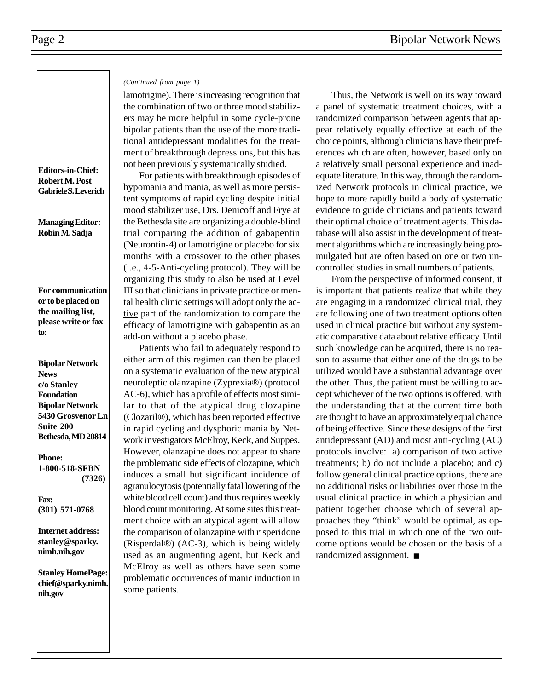# **Editors-in-Chief: Robert M. Post**

**Gabriele S. Leverich**

**Managing Editor: Robin M. Sadja**

**For communication or to be placed on the mailing list, please write or fax to:**

**Bipolar Network News c/o Stanley Foundation Bipolar Network 5430 Grosvenor Ln Suite 200 Bethesda, MD 20814**

**Phone: 1-800-518-SFBN (7326)**

**Fax: (301) 571-0768**

**Internet address: stanley@sparky. nimh.nih.gov**

**Stanley HomePage: chief@sparky.nimh. nih.gov**

### *(Continued from page 1)*

lamotrigine). There is increasing recognition that the combination of two or three mood stabilizers may be more helpful in some cycle-prone bipolar patients than the use of the more traditional antidepressant modalities for the treatment of breakthrough depressions, but this has not been previously systematically studied.

For patients with breakthrough episodes of hypomania and mania, as well as more persistent symptoms of rapid cycling despite initial mood stabilizer use, Drs. Denicoff and Frye at the Bethesda site are organizing a double-blind trial comparing the addition of gabapentin (Neurontin-4) or lamotrigine or placebo for six months with a crossover to the other phases (i.e., 4-5-Anti-cycling protocol). They will be organizing this study to also be used at Level III so that clinicians in private practice or mental health clinic settings will adopt only the active part of the randomization to compare the efficacy of lamotrigine with gabapentin as an add-on without a placebo phase.

Patients who fail to adequately respond to either arm of this regimen can then be placed on a systematic evaluation of the new atypical neuroleptic olanzapine (Zyprexia®) (protocol AC-6), which has a profile of effects most similar to that of the atypical drug clozapine (Clozaril®), which has been reported effective in rapid cycling and dysphoric mania by Network investigators McElroy, Keck, and Suppes. However, olanzapine does not appear to share the problematic side effects of clozapine, which induces a small but significant incidence of agranulocytosis (potentially fatal lowering of the white blood cell count) and thus requires weekly blood count monitoring. At some sites this treatment choice with an atypical agent will allow the comparison of olanzapine with risperidone (Risperdal®) (AC-3), which is being widely used as an augmenting agent, but Keck and McElroy as well as others have seen some problematic occurrences of manic induction in some patients.

Thus, the Network is well on its way toward a panel of systematic treatment choices, with a randomized comparison between agents that appear relatively equally effective at each of the choice points, although clinicians have their preferences which are often, however, based only on a relatively small personal experience and inadequate literature. In this way, through the randomized Network protocols in clinical practice, we hope to more rapidly build a body of systematic evidence to guide clinicians and patients toward their optimal choice of treatment agents. This database will also assist in the development of treatment algorithms which are increasingly being promulgated but are often based on one or two uncontrolled studies in small numbers of patients.

From the perspective of informed consent, it is important that patients realize that while they are engaging in a randomized clinical trial, they are following one of two treatment options often used in clinical practice but without any systematic comparative data about relative efficacy. Until such knowledge can be acquired, there is no reason to assume that either one of the drugs to be utilized would have a substantial advantage over the other. Thus, the patient must be willing to accept whichever of the two options is offered, with the understanding that at the current time both are thought to have an approximately equal chance of being effective. Since these designs of the first antidepressant (AD) and most anti-cycling (AC) protocols involve: a) comparison of two active treatments; b) do not include a placebo; and c) follow general clinical practice options, there are no additional risks or liabilities over those in the usual clinical practice in which a physician and patient together choose which of several approaches they "think" would be optimal, as opposed to this trial in which one of the two outcome options would be chosen on the basis of a randomized assignment. ■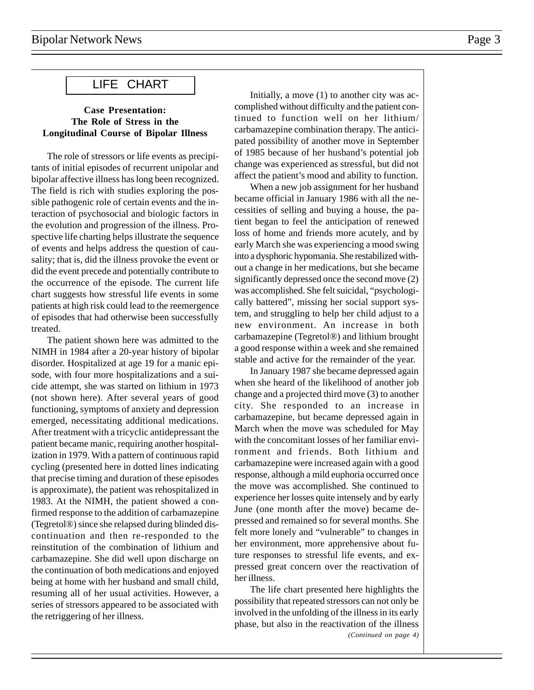# LIFE CHART

### **Case Presentation: The Role of Stress in the Longitudinal Course of Bipolar Illness**

The role of stressors or life events as precipitants of initial episodes of recurrent unipolar and bipolar affective illness has long been recognized. The field is rich with studies exploring the possible pathogenic role of certain events and the interaction of psychosocial and biologic factors in the evolution and progression of the illness. Prospective life charting helps illustrate the sequence of events and helps address the question of causality; that is, did the illness provoke the event or did the event precede and potentially contribute to the occurrence of the episode. The current life chart suggests how stressful life events in some patients at high risk could lead to the reemergence of episodes that had otherwise been successfully treated.

The patient shown here was admitted to the NIMH in 1984 after a 20-year history of bipolar disorder. Hospitalized at age 19 for a manic episode, with four more hospitalizations and a suicide attempt, she was started on lithium in 1973 (not shown here). After several years of good functioning, symptoms of anxiety and depression emerged, necessitating additional medications. After treatment with a tricyclic antidepressant the patient became manic, requiring another hospitalization in 1979. With a pattern of continuous rapid cycling (presented here in dotted lines indicating that precise timing and duration of these episodes is approximate), the patient was rehospitalized in 1983. At the NIMH, the patient showed a confirmed response to the addition of carbamazepine (Tegretol®) since she relapsed during blinded discontinuation and then re-responded to the reinstitution of the combination of lithium and carbamazepine. She did well upon discharge on the continuation of both medications and enjoyed being at home with her husband and small child, resuming all of her usual activities. However, a series of stressors appeared to be associated with the retriggering of her illness.

Initially, a move (1) to another city was accomplished without difficulty and the patient continued to function well on her lithium/ carbamazepine combination therapy. The anticipated possibility of another move in September of 1985 because of her husband's potential job change was experienced as stressful, but did not affect the patient's mood and ability to function.

When a new job assignment for her husband became official in January 1986 with all the necessities of selling and buying a house, the patient began to feel the anticipation of renewed loss of home and friends more acutely, and by early March she was experiencing a mood swing into a dysphoric hypomania. She restabilized without a change in her medications, but she became significantly depressed once the second move (2) was accomplished. She felt suicidal, "psychologically battered", missing her social support system, and struggling to help her child adjust to a new environment. An increase in both carbamazepine (Tegretol®) and lithium brought a good response within a week and she remained stable and active for the remainder of the year.

In January 1987 she became depressed again when she heard of the likelihood of another job change and a projected third move (3) to another city. She responded to an increase in carbamazepine, but became depressed again in March when the move was scheduled for May with the concomitant losses of her familiar environment and friends. Both lithium and carbamazepine were increased again with a good response, although a mild euphoria occurred once the move was accomplished. She continued to experience her losses quite intensely and by early June (one month after the move) became depressed and remained so for several months. She felt more lonely and "vulnerable" to changes in her environment, more apprehensive about future responses to stressful life events, and expressed great concern over the reactivation of her illness.

The life chart presented here highlights the possibility that repeated stressors can not only be involved in the unfolding of the illness in its early phase, but also in the reactivation of the illness *(Continued on page 4)*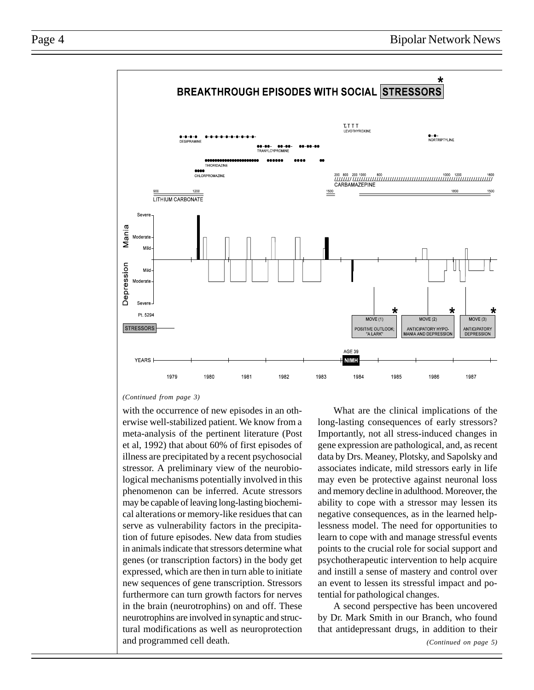

### *(Continued from page 3)*

with the occurrence of new episodes in an otherwise well-stabilized patient. We know from a meta-analysis of the pertinent literature (Post et al, 1992) that about 60% of first episodes of illness are precipitated by a recent psychosocial stressor. A preliminary view of the neurobiological mechanisms potentially involved in this phenomenon can be inferred. Acute stressors may be capable of leaving long-lasting biochemical alterations or memory-like residues that can serve as vulnerability factors in the precipitation of future episodes. New data from studies in animals indicate that stressors determine what genes (or transcription factors) in the body get expressed, which are then in turn able to initiate new sequences of gene transcription. Stressors furthermore can turn growth factors for nerves in the brain (neurotrophins) on and off. These neurotrophins are involved in synaptic and structural modifications as well as neuroprotection and programmed cell death.

What are the clinical implications of the long-lasting consequences of early stressors? Importantly, not all stress-induced changes in gene expression are pathological, and, as recent data by Drs. Meaney, Plotsky, and Sapolsky and associates indicate, mild stressors early in life may even be protective against neuronal loss and memory decline in adulthood. Moreover, the ability to cope with a stressor may lessen its negative consequences, as in the learned helplessness model. The need for opportunities to learn to cope with and manage stressful events points to the crucial role for social support and psychotherapeutic intervention to help acquire and instill a sense of mastery and control over an event to lessen its stressful impact and potential for pathological changes.

A second perspective has been uncovered by Dr. Mark Smith in our Branch, who found that antidepressant drugs, in addition to their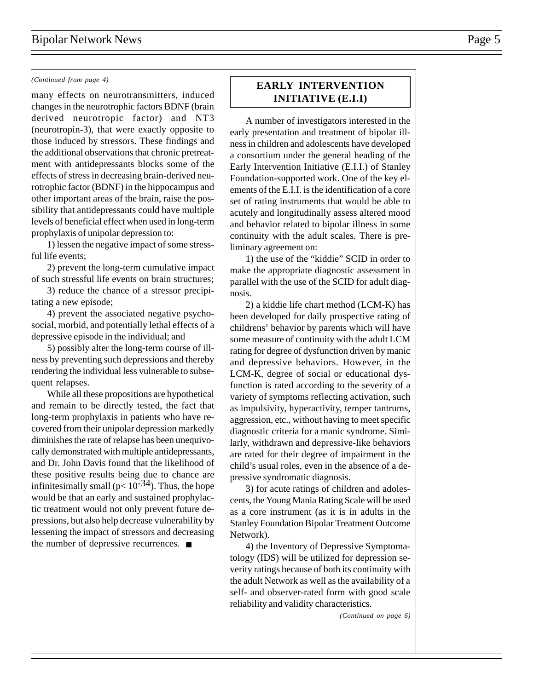many effects on neurotransmitters, induced changes in the neurotrophic factors BDNF (brain derived neurotropic factor) and NT3 (neurotropin-3), that were exactly opposite to those induced by stressors. These findings and the additional observations that chronic pretreatment with antidepressants blocks some of the effects of stress in decreasing brain-derived neurotrophic factor (BDNF) in the hippocampus and other important areas of the brain, raise the possibility that antidepressants could have multiple levels of beneficial effect when used in long-term prophylaxis of unipolar depression to:

1) lessen the negative impact of some stressful life events;

2) prevent the long-term cumulative impact of such stressful life events on brain structures;

3) reduce the chance of a stressor precipitating a new episode;

4) prevent the associated negative psychosocial, morbid, and potentially lethal effects of a depressive episode in the individual; and

5) possibly alter the long-term course of illness by preventing such depressions and thereby rendering the individual less vulnerable to subsequent relapses.

While all these propositions are hypothetical and remain to be directly tested, the fact that long-term prophylaxis in patients who have recovered from their unipolar depression markedly diminishes the rate of relapse has been unequivocally demonstrated with multiple antidepressants, and Dr. John Davis found that the likelihood of these positive results being due to chance are infinitesimally small ( $p < 10^{-34}$ ). Thus, the hope would be that an early and sustained prophylactic treatment would not only prevent future depressions, but also help decrease vulnerability by lessening the impact of stressors and decreasing the number of depressive recurrences. ■

## *(Continued from page 4)* **EARLY INTERVENTION INITIATIVE (E.I.I)**

A number of investigators interested in the early presentation and treatment of bipolar illness in children and adolescents have developed a consortium under the general heading of the Early Intervention Initiative (E.I.I.) of Stanley Foundation-supported work. One of the key elements of the E.I.I. is the identification of a core set of rating instruments that would be able to acutely and longitudinally assess altered mood and behavior related to bipolar illness in some continuity with the adult scales. There is preliminary agreement on:

1) the use of the "kiddie" SCID in order to make the appropriate diagnostic assessment in parallel with the use of the SCID for adult diagnosis.

2) a kiddie life chart method (LCM-K) has been developed for daily prospective rating of childrens' behavior by parents which will have some measure of continuity with the adult LCM rating for degree of dysfunction driven by manic and depressive behaviors. However, in the LCM-K, degree of social or educational dysfunction is rated according to the severity of a variety of symptoms reflecting activation, such as impulsivity, hyperactivity, temper tantrums, aggression, etc., without having to meet specific diagnostic criteria for a manic syndrome. Similarly, withdrawn and depressive-like behaviors are rated for their degree of impairment in the child's usual roles, even in the absence of a depressive syndromatic diagnosis.

3) for acute ratings of children and adolescents, the Young Mania Rating Scale will be used as a core instrument (as it is in adults in the Stanley Foundation Bipolar Treatment Outcome Network).

4) the Inventory of Depressive Symptomatology (IDS) will be utilized for depression severity ratings because of both its continuity with the adult Network as well as the availability of a self- and observer-rated form with good scale reliability and validity characteristics.

*(Continued on page 6)*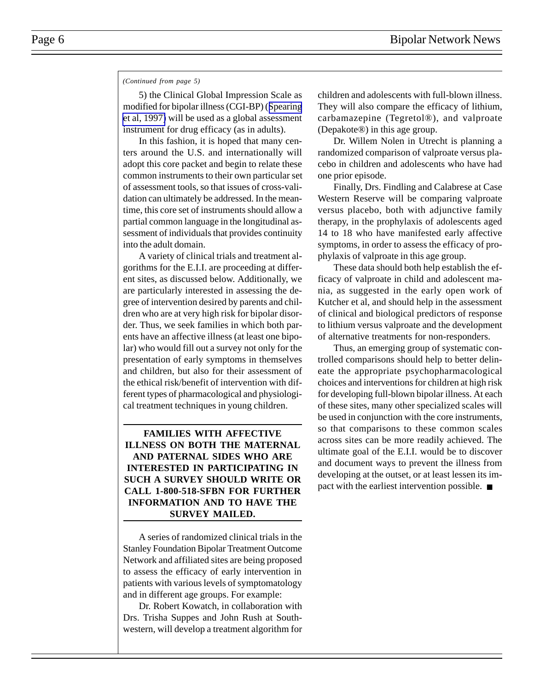### *(Continued from page 5)*

5) the Clinical Global Impression Scale as modified for bipolar illness (CGI-BP) ([Spearing](http://www.ncbi.nlm.nih.gov/entrez/query.fcgi?cmd=Retrieve&db=PubMed&list_uids=9481807&dopt=Abstract) [et al, 1997\)](http://www.ncbi.nlm.nih.gov/entrez/query.fcgi?cmd=Retrieve&db=PubMed&list_uids=9481807&dopt=Abstract) will be used as a global assessment instrument for drug efficacy (as in adults).

In this fashion, it is hoped that many centers around the U.S. and internationally will adopt this core packet and begin to relate these common instruments to their own particular set of assessment tools, so that issues of cross-validation can ultimately be addressed. In the meantime, this core set of instruments should allow a partial common language in the longitudinal assessment of individuals that provides continuity into the adult domain.

A variety of clinical trials and treatment algorithms for the E.I.I. are proceeding at different sites, as discussed below. Additionally, we are particularly interested in assessing the degree of intervention desired by parents and children who are at very high risk for bipolar disorder. Thus, we seek families in which both parents have an affective illness (at least one bipolar) who would fill out a survey not only for the presentation of early symptoms in themselves and children, but also for their assessment of the ethical risk/benefit of intervention with different types of pharmacological and physiological treatment techniques in young children.

### **FAMILIES WITH AFFECTIVE ILLNESS ON BOTH THE MATERNAL AND PATERNAL SIDES WHO ARE INTERESTED IN PARTICIPATING IN SUCH A SURVEY SHOULD WRITE OR CALL 1-800-518-SFBN FOR FURTHER INFORMATION AND TO HAVE THE SURVEY MAILED.**

A series of randomized clinical trials in the Stanley Foundation Bipolar Treatment Outcome Network and affiliated sites are being proposed to assess the efficacy of early intervention in patients with various levels of symptomatology and in different age groups. For example:

Dr. Robert Kowatch, in collaboration with Drs. Trisha Suppes and John Rush at Southwestern, will develop a treatment algorithm for children and adolescents with full-blown illness. They will also compare the efficacy of lithium, carbamazepine (Tegretol®), and valproate (Depakote®) in this age group.

Dr. Willem Nolen in Utrecht is planning a randomized comparison of valproate versus placebo in children and adolescents who have had one prior episode.

Finally, Drs. Findling and Calabrese at Case Western Reserve will be comparing valproate versus placebo, both with adjunctive family therapy, in the prophylaxis of adolescents aged 14 to 18 who have manifested early affective symptoms, in order to assess the efficacy of prophylaxis of valproate in this age group.

These data should both help establish the efficacy of valproate in child and adolescent mania, as suggested in the early open work of Kutcher et al, and should help in the assessment of clinical and biological predictors of response to lithium versus valproate and the development of alternative treatments for non-responders.

Thus, an emerging group of systematic controlled comparisons should help to better delineate the appropriate psychopharmacological choices and interventions for children at high risk for developing full-blown bipolar illness. At each of these sites, many other specialized scales will be used in conjunction with the core instruments, so that comparisons to these common scales across sites can be more readily achieved. The ultimate goal of the E.I.I. would be to discover and document ways to prevent the illness from developing at the outset, or at least lessen its impact with the earliest intervention possible. ■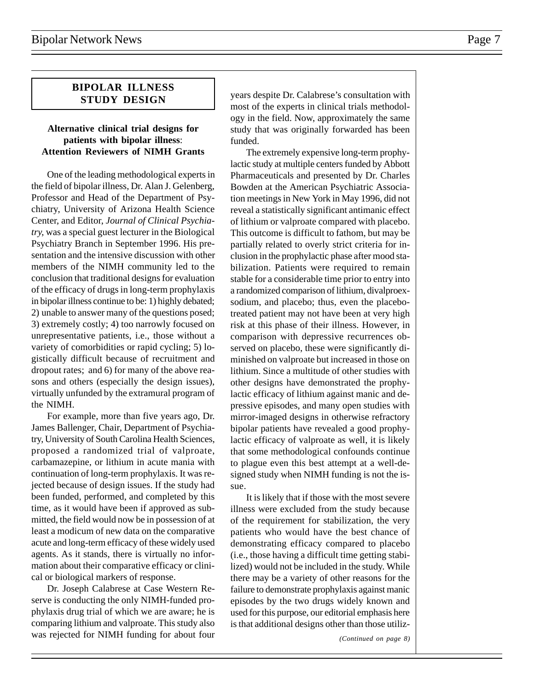### **BIPOLAR ILLNESS STUDY DESIGN**

### **Alternative clinical trial designs for patients with bipolar illness**: **Attention Reviewers of NIMH Grants**

One of the leading methodological experts in the field of bipolar illness, Dr. Alan J. Gelenberg, Professor and Head of the Department of Psychiatry, University of Arizona Health Science Center, and Editor, *Journal of Clinical Psychiatry,* was a special guest lecturer in the Biological Psychiatry Branch in September 1996. His presentation and the intensive discussion with other members of the NIMH community led to the conclusion that traditional designs for evaluation of the efficacy of drugs in long-term prophylaxis in bipolar illness continue to be: 1) highly debated; 2) unable to answer many of the questions posed; 3) extremely costly; 4) too narrowly focused on unrepresentative patients, i.e., those without a variety of comorbidities or rapid cycling; 5) logistically difficult because of recruitment and dropout rates; and 6) for many of the above reasons and others (especially the design issues), virtually unfunded by the extramural program of the NIMH.

For example, more than five years ago, Dr. James Ballenger, Chair, Department of Psychiatry, University of South Carolina Health Sciences, proposed a randomized trial of valproate, carbamazepine, or lithium in acute mania with continuation of long-term prophylaxis. It was rejected because of design issues. If the study had been funded, performed, and completed by this time, as it would have been if approved as submitted, the field would now be in possession of at least a modicum of new data on the comparative acute and long-term efficacy of these widely used agents. As it stands, there is virtually no information about their comparative efficacy or clinical or biological markers of response.

Dr. Joseph Calabrese at Case Western Reserve is conducting the only NIMH-funded prophylaxis drug trial of which we are aware; he is comparing lithium and valproate. This study also was rejected for NIMH funding for about four years despite Dr. Calabrese's consultation with most of the experts in clinical trials methodology in the field. Now, approximately the same study that was originally forwarded has been funded.

The extremely expensive long-term prophylactic study at multiple centers funded by Abbott Pharmaceuticals and presented by Dr. Charles Bowden at the American Psychiatric Association meetings in New York in May 1996, did not reveal a statistically significant antimanic effect of lithium or valproate compared with placebo. This outcome is difficult to fathom, but may be partially related to overly strict criteria for inclusion in the prophylactic phase after mood stabilization. Patients were required to remain stable for a considerable time prior to entry into a randomized comparison of lithium, divalproexsodium, and placebo; thus, even the placebotreated patient may not have been at very high risk at this phase of their illness. However, in comparison with depressive recurrences observed on placebo, these were significantly diminished on valproate but increased in those on lithium. Since a multitude of other studies with other designs have demonstrated the prophylactic efficacy of lithium against manic and depressive episodes, and many open studies with mirror-imaged designs in otherwise refractory bipolar patients have revealed a good prophylactic efficacy of valproate as well, it is likely that some methodological confounds continue to plague even this best attempt at a well-designed study when NIMH funding is not the issue.

It is likely that if those with the most severe illness were excluded from the study because of the requirement for stabilization, the very patients who would have the best chance of demonstrating efficacy compared to placebo (i.e., those having a difficult time getting stabilized) would not be included in the study. While there may be a variety of other reasons for the failure to demonstrate prophylaxis against manic episodes by the two drugs widely known and used for this purpose, our editorial emphasis here is that additional designs other than those utiliz-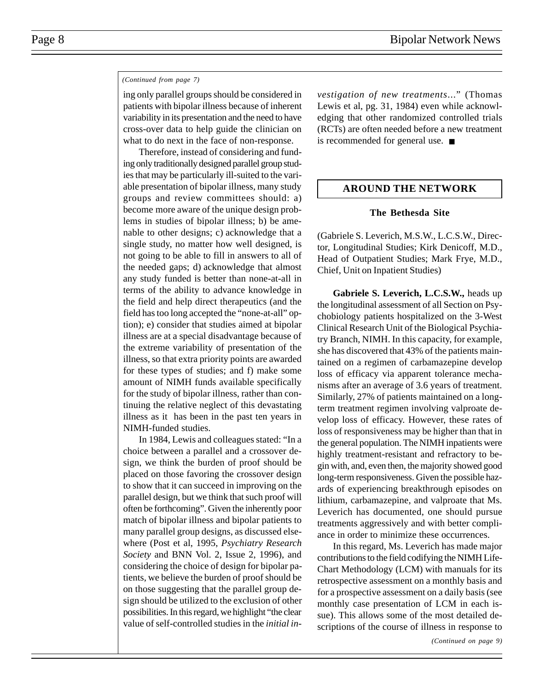### *(Continued from page 7)*

ing only parallel groups should be considered in patients with bipolar illness because of inherent variability in its presentation and the need to have cross-over data to help guide the clinician on what to do next in the face of non-response.

Therefore, instead of considering and funding only traditionally designed parallel group studies that may be particularly ill-suited to the variable presentation of bipolar illness, many study groups and review committees should: a) become more aware of the unique design problems in studies of bipolar illness; b) be amenable to other designs; c) acknowledge that a single study, no matter how well designed, is not going to be able to fill in answers to all of the needed gaps; d) acknowledge that almost any study funded is better than none-at-all in terms of the ability to advance knowledge in the field and help direct therapeutics (and the field has too long accepted the "none-at-all" option); e) consider that studies aimed at bipolar illness are at a special disadvantage because of the extreme variability of presentation of the illness, so that extra priority points are awarded for these types of studies; and f) make some amount of NIMH funds available specifically for the study of bipolar illness, rather than continuing the relative neglect of this devastating illness as it has been in the past ten years in NIMH-funded studies.

In 1984, Lewis and colleagues stated: "In a choice between a parallel and a crossover design, we think the burden of proof should be placed on those favoring the crossover design to show that it can succeed in improving on the parallel design, but we think that such proof will often be forthcoming". Given the inherently poor match of bipolar illness and bipolar patients to many parallel group designs, as discussed elsewhere (Post et al, 1995, *Psychiatry Research Society* and BNN Vol. 2, Issue 2, 1996), and considering the choice of design for bipolar patients, we believe the burden of proof should be on those suggesting that the parallel group design should be utilized to the exclusion of other possibilities. In this regard, we highlight "the clear value of self-controlled studies in the *initial in-* *vestigation of new treatments*..." (Thomas Lewis et al, pg. 31, 1984) even while acknowledging that other randomized controlled trials (RCTs) are often needed before a new treatment is recommended for general use. ■

### **AROUND THE NETWORK**

### **The Bethesda Site**

(Gabriele S. Leverich, M.S.W., L.C.S.W., Director, Longitudinal Studies; Kirk Denicoff, M.D., Head of Outpatient Studies; Mark Frye, M.D., Chief, Unit on Inpatient Studies)

**Gabriele S. Leverich, L.C.S.W.,** heads up the longitudinal assessment of all Section on Psychobiology patients hospitalized on the 3-West Clinical Research Unit of the Biological Psychiatry Branch, NIMH. In this capacity, for example, she has discovered that 43% of the patients maintained on a regimen of carbamazepine develop loss of efficacy via apparent tolerance mechanisms after an average of 3.6 years of treatment. Similarly, 27% of patients maintained on a longterm treatment regimen involving valproate develop loss of efficacy. However, these rates of loss of responsiveness may be higher than that in the general population. The NIMH inpatients were highly treatment-resistant and refractory to begin with, and, even then, the majority showed good long-term responsiveness. Given the possible hazards of experiencing breakthrough episodes on lithium, carbamazepine, and valproate that Ms. Leverich has documented, one should pursue treatments aggressively and with better compliance in order to minimize these occurrences.

In this regard, Ms. Leverich has made major contributions to the field codifying the NIMH Life-Chart Methodology (LCM) with manuals for its retrospective assessment on a monthly basis and for a prospective assessment on a daily basis (see monthly case presentation of LCM in each issue). This allows some of the most detailed descriptions of the course of illness in response to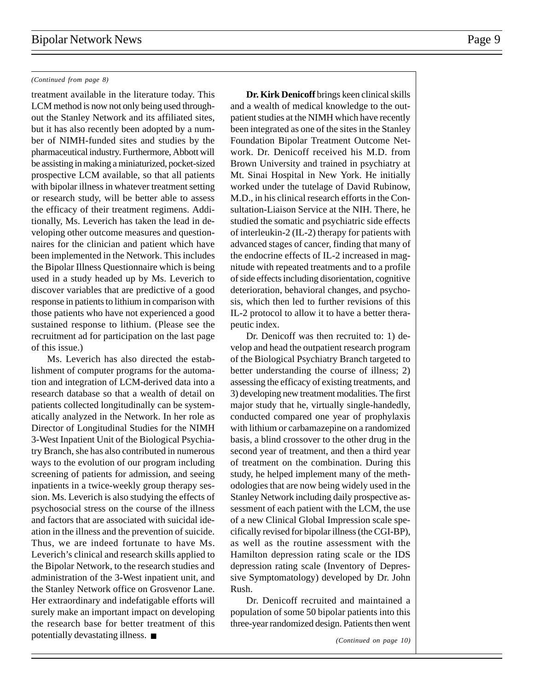### *(Continued from page 8)*

treatment available in the literature today. This LCM method is now not only being used throughout the Stanley Network and its affiliated sites, but it has also recently been adopted by a number of NIMH-funded sites and studies by the pharmaceutical industry. Furthermore, Abbott will be assisting in making a miniaturized, pocket-sized prospective LCM available, so that all patients with bipolar illness in whatever treatment setting or research study, will be better able to assess the efficacy of their treatment regimens. Additionally, Ms. Leverich has taken the lead in developing other outcome measures and questionnaires for the clinician and patient which have been implemented in the Network. This includes the Bipolar Illness Questionnaire which is being used in a study headed up by Ms. Leverich to discover variables that are predictive of a good response in patients to lithium in comparison with those patients who have not experienced a good sustained response to lithium. (Please see the recruitment ad for participation on the last page of this issue.)

Ms. Leverich has also directed the establishment of computer programs for the automation and integration of LCM-derived data into a research database so that a wealth of detail on patients collected longitudinally can be systematically analyzed in the Network. In her role as Director of Longitudinal Studies for the NIMH 3-West Inpatient Unit of the Biological Psychiatry Branch, she has also contributed in numerous ways to the evolution of our program including screening of patients for admission, and seeing inpatients in a twice-weekly group therapy session. Ms. Leverich is also studying the effects of psychosocial stress on the course of the illness and factors that are associated with suicidal ideation in the illness and the prevention of suicide. Thus, we are indeed fortunate to have Ms. Leverich's clinical and research skills applied to the Bipolar Network, to the research studies and administration of the 3-West inpatient unit, and the Stanley Network office on Grosvenor Lane. Her extraordinary and indefatigable efforts will surely make an important impact on developing the research base for better treatment of this potentially devastating illness. ■

**Dr. Kirk Denicoff** brings keen clinical skills and a wealth of medical knowledge to the outpatient studies at the NIMH which have recently been integrated as one of the sites in the Stanley Foundation Bipolar Treatment Outcome Network. Dr. Denicoff received his M.D. from Brown University and trained in psychiatry at Mt. Sinai Hospital in New York. He initially worked under the tutelage of David Rubinow, M.D., in his clinical research efforts in the Consultation-Liaison Service at the NIH. There, he studied the somatic and psychiatric side effects of interleukin-2 (IL-2) therapy for patients with advanced stages of cancer, finding that many of the endocrine effects of IL-2 increased in magnitude with repeated treatments and to a profile of side effects including disorientation, cognitive deterioration, behavioral changes, and psychosis, which then led to further revisions of this IL-2 protocol to allow it to have a better therapeutic index.

Dr. Denicoff was then recruited to: 1) develop and head the outpatient research program of the Biological Psychiatry Branch targeted to better understanding the course of illness; 2) assessing the efficacy of existing treatments, and 3) developing new treatment modalities. The first major study that he, virtually single-handedly, conducted compared one year of prophylaxis with lithium or carbamazepine on a randomized basis, a blind crossover to the other drug in the second year of treatment, and then a third year of treatment on the combination. During this study, he helped implement many of the methodologies that are now being widely used in the Stanley Network including daily prospective assessment of each patient with the LCM, the use of a new Clinical Global Impression scale specifically revised for bipolar illness (the CGI-BP), as well as the routine assessment with the Hamilton depression rating scale or the IDS depression rating scale (Inventory of Depressive Symptomatology) developed by Dr. John Rush.

Dr. Denicoff recruited and maintained a population of some 50 bipolar patients into this three-year randomized design. Patients then went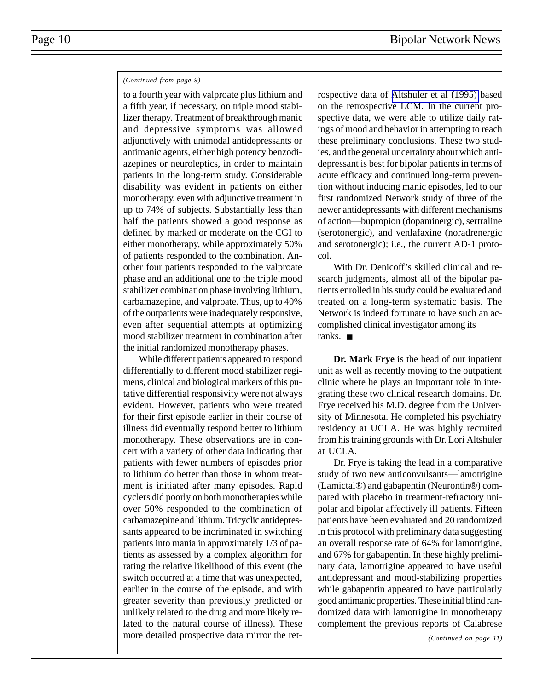### *(Continued from page 9)*

to a fourth year with valproate plus lithium and a fifth year, if necessary, on triple mood stabilizer therapy. Treatment of breakthrough manic and depressive symptoms was allowed adjunctively with unimodal antidepressants or antimanic agents, either high potency benzodiazepines or neuroleptics, in order to maintain patients in the long-term study. Considerable disability was evident in patients on either monotherapy, even with adjunctive treatment in up to 74% of subjects. Substantially less than half the patients showed a good response as defined by marked or moderate on the CGI to either monotherapy, while approximately 50% of patients responded to the combination. Another four patients responded to the valproate phase and an additional one to the triple mood stabilizer combination phase involving lithium, carbamazepine, and valproate. Thus, up to 40% of the outpatients were inadequately responsive, even after sequential attempts at optimizing mood stabilizer treatment in combination after the initial randomized monotherapy phases.

While different patients appeared to respond differentially to different mood stabilizer regimens, clinical and biological markers of this putative differential responsivity were not always evident. However, patients who were treated for their first episode earlier in their course of illness did eventually respond better to lithium monotherapy. These observations are in concert with a variety of other data indicating that patients with fewer numbers of episodes prior to lithium do better than those in whom treatment is initiated after many episodes. Rapid cyclers did poorly on both monotherapies while over 50% responded to the combination of carbamazepine and lithium. Tricyclic antidepressants appeared to be incriminated in switching patients into mania in approximately 1/3 of patients as assessed by a complex algorithm for rating the relative likelihood of this event (the switch occurred at a time that was unexpected, earlier in the course of the episode, and with greater severity than previously predicted or unlikely related to the drug and more likely related to the natural course of illness). These more detailed prospective data mirror the retrospective data of [Altshuler et al \(1995\)](http://www.ncbi.nlm.nih.gov/entrez/query.fcgi?cmd=Retrieve&db=PubMed&list_uids=7625459&dopt=Abstract) based on the retrospective LCM. In the current prospective data, we were able to utilize daily ratings of mood and behavior in attempting to reach these preliminary conclusions. These two studies, and the general uncertainty about which antidepressant is best for bipolar patients in terms of acute efficacy and continued long-term prevention without inducing manic episodes, led to our first randomized Network study of three of the newer antidepressants with different mechanisms of action—bupropion (dopaminergic), sertraline (serotonergic), and venlafaxine (noradrenergic and serotonergic); i.e., the current AD-1 protocol.

With Dr. Denicoff's skilled clinical and research judgments, almost all of the bipolar patients enrolled in his study could be evaluated and treated on a long-term systematic basis. The Network is indeed fortunate to have such an accomplished clinical investigator among its ranks. ■

**Dr. Mark Frye** is the head of our inpatient unit as well as recently moving to the outpatient clinic where he plays an important role in integrating these two clinical research domains. Dr. Frye received his M.D. degree from the University of Minnesota. He completed his psychiatry residency at UCLA. He was highly recruited from his training grounds with Dr. Lori Altshuler at UCLA.

Dr. Frye is taking the lead in a comparative study of two new anticonvulsants—lamotrigine (Lamictal®) and gabapentin (Neurontin®) compared with placebo in treatment-refractory unipolar and bipolar affectively ill patients. Fifteen patients have been evaluated and 20 randomized in this protocol with preliminary data suggesting an overall response rate of 64% for lamotrigine, and 67% for gabapentin. In these highly preliminary data, lamotrigine appeared to have useful antidepressant and mood-stabilizing properties while gabapentin appeared to have particularly good antimanic properties. These initial blind randomized data with lamotrigine in monotherapy complement the previous reports of Calabrese

*(Continued on page 11)*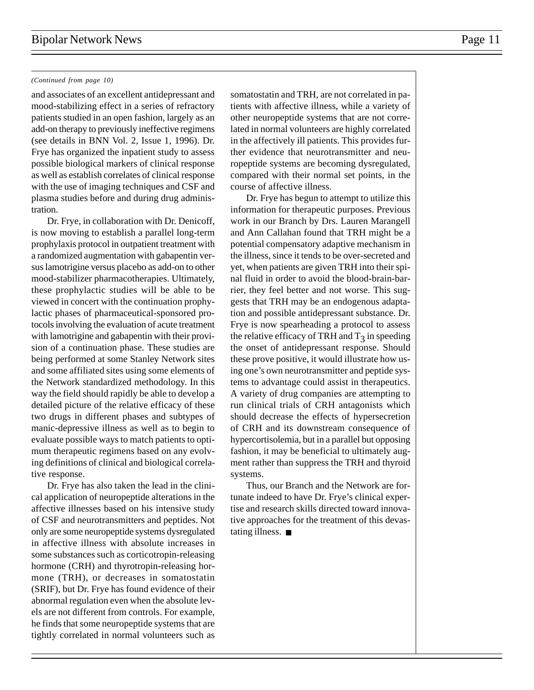### *(Continued from page 10)*

and associates of an excellent antidepressant and mood-stabilizing effect in a series of refractory patients studied in an open fashion, largely as an add-on therapy to previously ineffective regimens (see details in BNN Vol. 2, Issue 1, 1996). Dr. Frye has organized the inpatient study to assess possible biological markers of clinical response as well as establish correlates of clinical response with the use of imaging techniques and CSF and plasma studies before and during drug administration.

Dr. Frye, in collaboration with Dr. Denicoff, is now moving to establish a parallel long-term prophylaxis protocol in outpatient treatment with a randomized augmentation with gabapentin versus lamotrigine versus placebo as add-on to other mood-stabilizer pharmacotherapies. Ultimately, these prophylactic studies will be able to be viewed in concert with the continuation prophylactic phases of pharmaceutical-sponsored protocols involving the evaluation of acute treatment with lamotrigine and gabapentin with their provision of a continuation phase. These studies are being performed at some Stanley Network sites and some affiliated sites using some elements of the Network standardized methodology. In this way the field should rapidly be able to develop a detailed picture of the relative efficacy of these two drugs in different phases and subtypes of manic-depressive illness as well as to begin to evaluate possible ways to match patients to optimum therapeutic regimens based on any evolving definitions of clinical and biological correlative response.

Dr. Frye has also taken the lead in the clinical application of neuropeptide alterations in the affective illnesses based on his intensive study of CSF and neurotransmitters and peptides. Not only are some neuropeptide systems dysregulated in affective illness with absolute increases in some substances such as corticotropin-releasing hormone (CRH) and thyrotropin-releasing hormone (TRH), or decreases in somatostatin (SRIF), but Dr. Frye has found evidence of their abnormal regulation even when the absolute levels are not different from controls. For example, he finds that some neuropeptide systems that are tightly correlated in normal volunteers such as

somatostatin and TRH, are not correlated in patients with affective illness, while a variety of other neuropeptide systems that are not correlated in normal volunteers are highly correlated in the affectively ill patients. This provides further evidence that neurotransmitter and neuropeptide systems are becoming dysregulated, compared with their normal set points, in the course of affective illness.

Dr. Frye has begun to attempt to utilize this information for therapeutic purposes. Previous work in our Branch by Drs. Lauren Marangell and Ann Callahan found that TRH might be a potential compensatory adaptive mechanism in the illness, since it tends to be over-secreted and yet, when patients are given TRH into their spinal fluid in order to avoid the blood-brain-barrier, they feel better and not worse. This suggests that TRH may be an endogenous adaptation and possible antidepressant substance. Dr. Frye is now spearheading a protocol to assess the relative efficacy of TRH and  $T_3$  in speeding the onset of antidepressant response. Should these prove positive, it would illustrate how using one's own neurotransmitter and peptide systems to advantage could assist in therapeutics. A variety of drug companies are attempting to run clinical trials of CRH antagonists which should decrease the effects of hypersecretion of CRH and its downstream consequence of hypercortisolemia, but in a parallel but opposing fashion, it may be beneficial to ultimately augment rather than suppress the TRH and thyroid systems.

Thus, our Branch and the Network are fortunate indeed to have Dr. Frye's clinical expertise and research skills directed toward innovative approaches for the treatment of this devastating illness. ■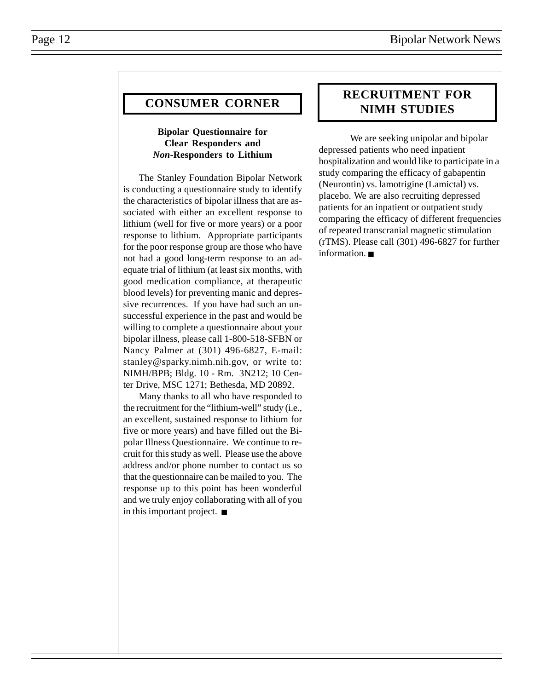### **CONSUMER CORNER**

### **Bipolar Questionnaire for Clear Responders and** *Non***-Responders to Lithium**

The Stanley Foundation Bipolar Network is conducting a questionnaire study to identify the characteristics of bipolar illness that are associated with either an excellent response to lithium (well for five or more years) or a poor response to lithium. Appropriate participants for the poor response group are those who have not had a good long-term response to an adequate trial of lithium (at least six months, with good medication compliance, at therapeutic blood levels) for preventing manic and depressive recurrences. If you have had such an unsuccessful experience in the past and would be willing to complete a questionnaire about your bipolar illness, please call 1-800-518-SFBN or Nancy Palmer at (301) 496-6827, E-mail: stanley@sparky.nimh.nih.gov, or write to: NIMH/BPB; Bldg. 10 - Rm. 3N212; 10 Center Drive, MSC 1271; Bethesda, MD 20892.

Many thanks to all who have responded to the recruitment for the "lithium-well" study (i.e., an excellent, sustained response to lithium for five or more years) and have filled out the Bipolar Illness Questionnaire. We continue to recruit for this study as well. Please use the above address and/or phone number to contact us so that the questionnaire can be mailed to you. The response up to this point has been wonderful and we truly enjoy collaborating with all of you in this important project. ■

### **RECRUITMENT FOR NIMH STUDIES**

We are seeking unipolar and bipolar depressed patients who need inpatient hospitalization and would like to participate in a study comparing the efficacy of gabapentin (Neurontin) vs. lamotrigine (Lamictal) vs. placebo. We are also recruiting depressed patients for an inpatient or outpatient study comparing the efficacy of different frequencies of repeated transcranial magnetic stimulation (rTMS). Please call (301) 496-6827 for further information. ■